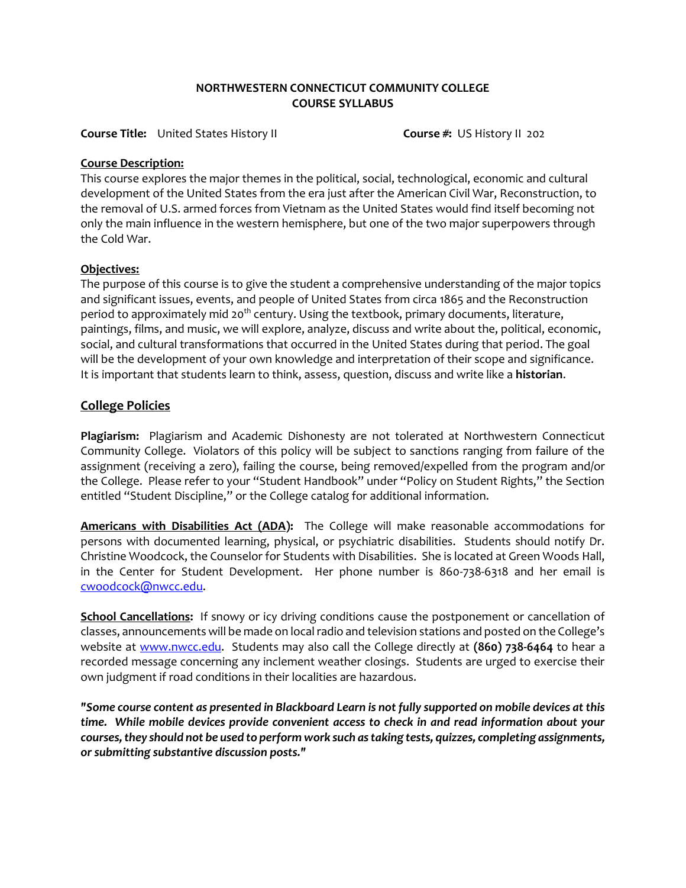### **NORTHWESTERN CONNECTICUT COMMUNITY COLLEGE COURSE SYLLABUS**

**Course Title:** United States History II **Course #:** US History II 202

### **Course Description:**

This course explores the major themes in the political, social, technological, economic and cultural development of the United States from the era just after the American Civil War, Reconstruction, to the removal of U.S. armed forces from Vietnam as the United States would find itself becoming not only the main influence in the western hemisphere, but one of the two major superpowers through the Cold War.

#### **Objectives:**

The purpose of this course is to give the student a comprehensive understanding of the major topics and significant issues, events, and people of United States from circa 1865 and the Reconstruction period to approximately mid 20<sup>th</sup> century. Using the textbook, primary documents, literature, paintings, films, and music, we will explore, analyze, discuss and write about the, political, economic, social, and cultural transformations that occurred in the United States during that period. The goal will be the development of your own knowledge and interpretation of their scope and significance. It is important that students learn to think, assess, question, discuss and write like a **historian**.

## **College Policies**

**Plagiarism:** Plagiarism and Academic Dishonesty are not tolerated at Northwestern Connecticut Community College. Violators of this policy will be subject to sanctions ranging from failure of the assignment (receiving a zero), failing the course, being removed/expelled from the program and/or the College. Please refer to your "Student Handbook" under "Policy on Student Rights," the Section entitled "Student Discipline," or the College catalog for additional information.

**Americans with Disabilities Act (ADA):** The College will make reasonable accommodations for persons with documented learning, physical, or psychiatric disabilities. Students should notify Dr. Christine Woodcock, the Counselor for Students with Disabilities. She is located at Green Woods Hall, in the Center for Student Development. Her phone number is 860-738-6318 and her email is [cwoodcock@nwcc.edu.](mailto:cwoodcock@nwcc.edu)

**School Cancellations:** If snowy or icy driving conditions cause the postponement or cancellation of classes, announcements will be made on local radio and television stations and posted on the College's website at [www.nwcc.edu.](http://www.nwcc.edu/) Students may also call the College directly at **(860) 738-6464** to hear a recorded message concerning any inclement weather closings. Students are urged to exercise their own judgment if road conditions in their localities are hazardous.

*"Some course content as presented in Blackboard Learn is not fully supported on mobile devices at this time. While mobile devices provide convenient access to check in and read information about your courses, they should not be used to perform work such as taking tests, quizzes, completing assignments, or submitting substantive discussion posts."*